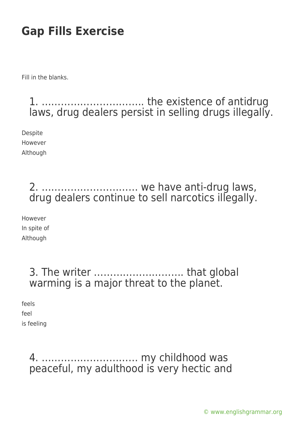Fill in the blanks.

1. ………………………….. the existence of antidrug laws, drug dealers persist in selling drugs illegally.

**Despite** However Although

### 2. ………………………… we have anti-drug laws, drug dealers continue to sell narcotics illegally.

However In spite of Although

### 3. The writer ………………………. that global warming is a major threat to the planet.

feels feel

is feeling

4. ………………………… my childhood was peaceful, my adulthood is very hectic and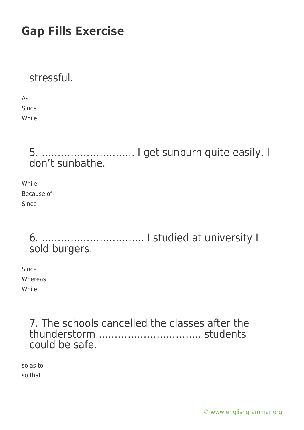stressful.

As Since While

### 5. ……………………….. I get sunburn quite easily, I don't sunbathe.

While Because of Since

### 6. ………………………….. I studied at university I sold burgers.

Since Whereas While

> 7. The schools cancelled the classes after the thunderstorm ………………………….. students could be safe.

so as to so that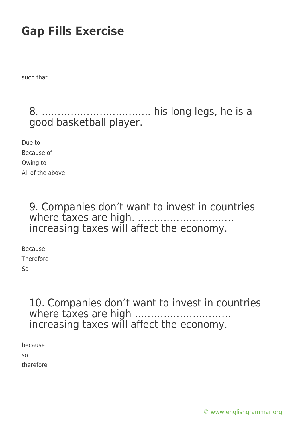such that

### 8. ……………………………. his long legs, he is a good basketball player.

Due to Because of Owing to All of the above

> 9. Companies don't want to invest in countries where taxes are high. ………………………… increasing taxes will affect the economy.

Because Therefore So

> 10. Companies don't want to invest in countries where taxes are high ............... increasing taxes will affect the economy.

because so therefore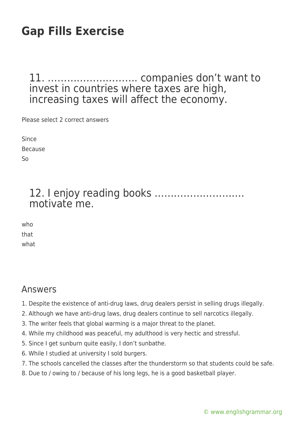#### 11. ………………………. companies don't want to invest in countries where taxes are high, increasing taxes will affect the economy.

Please select 2 correct answers

Since Because So

#### 12. I enjoy reading books ………………………. motivate me.

who that what

#### Answers

- 1. Despite the existence of anti-drug laws, drug dealers persist in selling drugs illegally.
- 2. Although we have anti-drug laws, drug dealers continue to sell narcotics illegally.
- 3. The writer feels that global warming is a major threat to the planet.
- 4. While my childhood was peaceful, my adulthood is very hectic and stressful.
- 5. Since I get sunburn quite easily, I don't sunbathe.
- 6. While I studied at university I sold burgers.
- 7. The schools cancelled the classes after the thunderstorm so that students could be safe.
- 8. Due to / owing to / because of his long legs, he is a good basketball player.